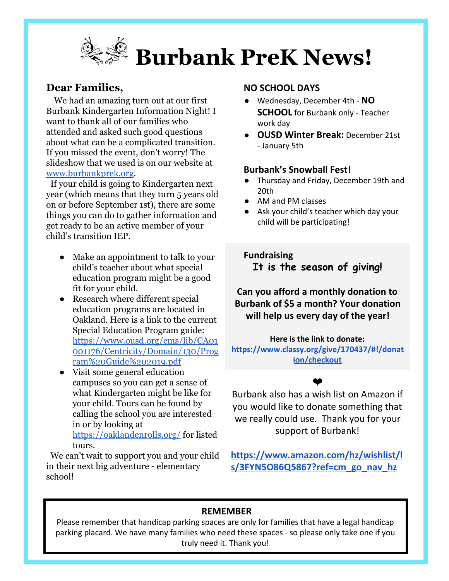

## **Dear Families,**

We had an amazing turn out at our first Burbank Kindergarten Information Night! I want to thank all of our families who attended and asked such good questions about what can be a complicated transition. If you missed the event, don't worry! The slideshow that we used is on our website at [www.burbankprek.org](http://www.burbankprek.org/).

 If your child is going to Kindergarten next year (which means that they turn 5 years old on or before September 1st), there are some things you can do to gather information and get ready to be an active member of your child's transition IEP.

- Make an appointment to talk to your child's teacher about what special education program might be a good fit for your child.
- Research where different special education programs are located in Oakland. Here is a link to the current Special Education Program guide: [https://www.ousd.org/cms/lib/CA01](https://www.ousd.org/cms/lib/CA01001176/Centricity/Domain/130/Program%20Guide%202019.pdf) [001176/Centricity/Domain/130/Prog](https://www.ousd.org/cms/lib/CA01001176/Centricity/Domain/130/Program%20Guide%202019.pdf) [ram%20Guide%202019.pdf](https://www.ousd.org/cms/lib/CA01001176/Centricity/Domain/130/Program%20Guide%202019.pdf)
- Visit some general education campuses so you can get a sense of what Kindergarten might be like for your child. Tours can be found by calling the school you are interested in or by looking at <https://oaklandenrolls.org/>for listed tours.

 We can't wait to support you and your child in their next big adventure - elementary school!

### **NO SCHOOL DAYS**

- Wednesday, December 4th **NO SCHOOL** for Burbank only - Teacher work day
- **OUSD Winter Break:** December 21st - January 5th

#### **Burbank's Snowball Fest!**

- Thursday and Friday, December 19th and 20th
- AM and PM classes
- Ask your child's teacher which day your child will be participating!

**Fundraising It is the season of giving!**

**Can you afford a monthly donation to Burbank of \$5 a month? Your donation will help us every day of the year!**

**Here is the link to donate: [https://www.classy.org/give/170437/#!/donat](https://www.classy.org/give/170437/#!/donation/checkout) [ion/checkout](https://www.classy.org/give/170437/#!/donation/checkout)**



Burbank also has a wish list on Amazon if you would like to donate something that we really could use. Thank you for your support of Burbank!

**[https://www.amazon.com/hz/wishlist/l](https://www.amazon.com/hz/wishlist/ls/3FYN5O86Q5867?ref=cm_go_nav_hz) [s/3FYN5O86Q5867?ref=cm\\_go\\_nav\\_hz](https://www.amazon.com/hz/wishlist/ls/3FYN5O86Q5867?ref=cm_go_nav_hz)**

# **REMEMBER**

Please remember that handicap parking spaces are only for families that have a legal handicap parking placard. We have many families who need these spaces - so please only take one if you truly need it. Thank you!